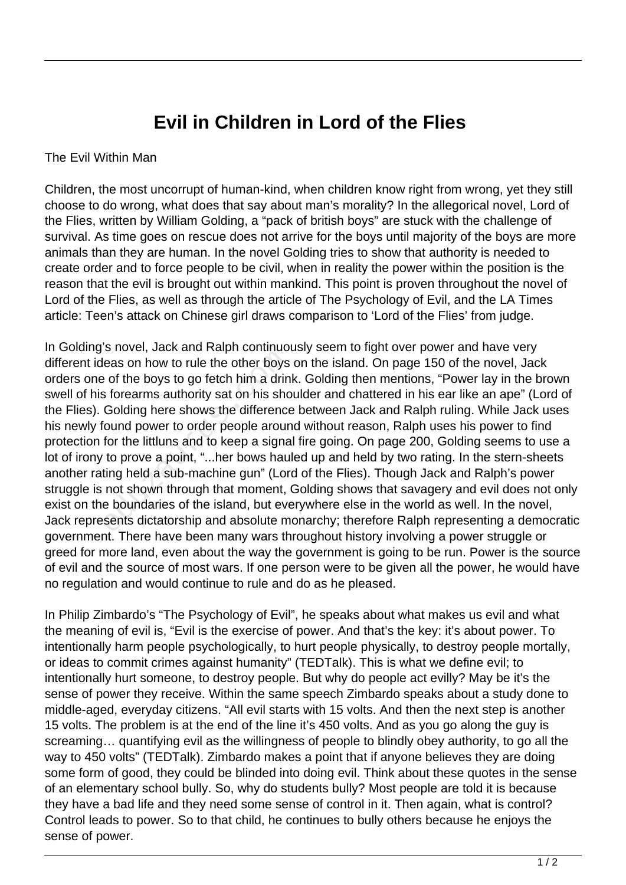## **Evil in Children in Lord of the Flies**

## The Evil Within Man

Children, the most uncorrupt of human-kind, when children know right from wrong, yet they still choose to do wrong, what does that say about man's morality? In the allegorical novel, Lord of the Flies, written by William Golding, a "pack of british boys" are stuck with the challenge of survival. As time goes on rescue does not arrive for the boys until majority of the boys are more animals than they are human. In the novel Golding tries to show that authority is needed to create order and to force people to be civil, when in reality the power within the position is the reason that the evil is brought out within mankind. This point is proven throughout the novel of Lord of the Flies, as well as through the article of The Psychology of Evil, and the LA Times article: Teen's attack on Chinese girl draws comparison to 'Lord of the Flies' from judge.

In Golding's novel, Jack and Ralph continuously seem to fight over power and have very different ideas on how to rule the other boys on the island. On page 150 of the novel, Jack orders one of the boys to go fetch him a drink. Golding then mentions, "Power lay in the brown swell of his forearms authority sat on his shoulder and chattered in his ear like an ape" (Lord of the Flies). Golding here shows the difference between Jack and Ralph ruling. While Jack uses his newly found power to order people around without reason, Ralph uses his power to find protection for the littluns and to keep a signal fire going. On page 200, Golding seems to use a lot of irony to prove a point, "...her bows hauled up and held by two rating. In the stern-sheets another rating held a sub-machine gun" (Lord of the Flies). Though Jack and Ralph's power struggle is not shown through that moment, Golding shows that savagery and evil does not only exist on the boundaries of the island, but everywhere else in the world as well. In the novel, Jack represents dictatorship and absolute monarchy; therefore Ralph representing a democratic government. There have been many wars throughout history involving a power struggle or greed for more land, even about the way the government is going to be run. Power is the source of evil and the source of most wars. If one person were to be given all the power, he would have no regulation and would continue to rule and do as he pleased. eas on how to rule the other boys<br>est of the boys to go fetch him a drin<br>s forearms authority sat on his sho<br>Golding here shows the difference<br>cound power to order people arour<br>for the littluns and to keep a signa<br>to prove

In Philip Zimbardo's "The Psychology of Evil", he speaks about what makes us evil and what the meaning of evil is, "Evil is the exercise of power. And that's the key: it's about power. To intentionally harm people psychologically, to hurt people physically, to destroy people mortally, or ideas to commit crimes against humanity" (TEDTalk). This is what we define evil; to intentionally hurt someone, to destroy people. But why do people act evilly? May be it's the sense of power they receive. Within the same speech Zimbardo speaks about a study done to middle-aged, everyday citizens. "All evil starts with 15 volts. And then the next step is another 15 volts. The problem is at the end of the line it's 450 volts. And as you go along the guy is screaming… quantifying evil as the willingness of people to blindly obey authority, to go all the way to 450 volts" (TEDTalk). Zimbardo makes a point that if anyone believes they are doing some form of good, they could be blinded into doing evil. Think about these quotes in the sense of an elementary school bully. So, why do students bully? Most people are told it is because they have a bad life and they need some sense of control in it. Then again, what is control? Control leads to power. So to that child, he continues to bully others because he enjoys the sense of power.